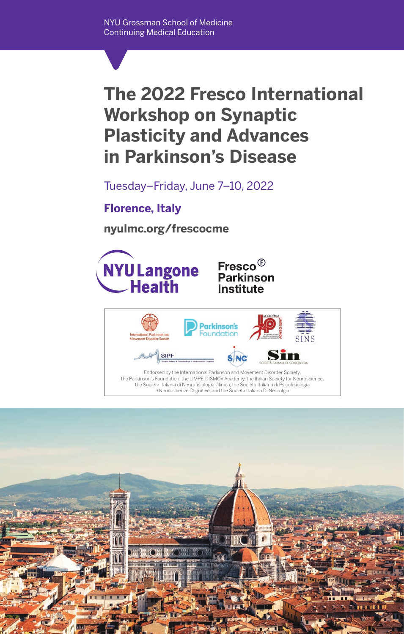# **The 2022 Fresco International Workshop on Synaptic Plasticity and Advances in Parkinson's Disease**

Tuesday–Friday, June 7–10, 2022

**Florence, Italy**

**nyulmc.org/frescocme** 





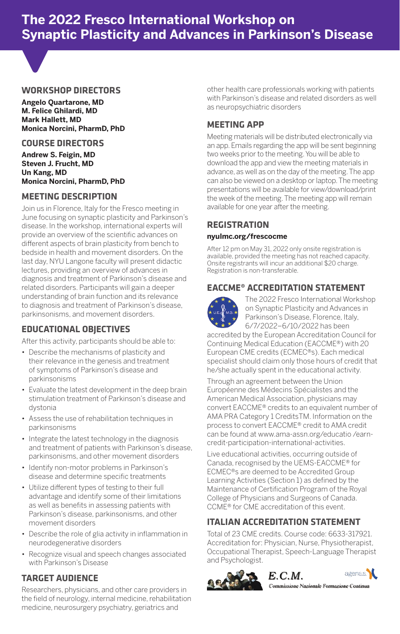## **The 2022 Fresco International Workshop on Synaptic Plasticity and Advances in Parkinson's Disease**



#### **WORKSHOP DIRECTORS**

**Angelo Quartarone, MD M. Felice Ghilardi, MD Mark Hallett, MD Monica Norcini, PharmD, PhD**

#### **COURSE DIRECTORS**

**Andrew S. Feigin, MD Steven J. Frucht, MD Un Kang, MD Monica Norcini, PharmD, PhD**

#### **MEETING DESCRIPTION**

Join us in Florence, Italy for the Fresco meeting in June focusing on synaptic plasticity and Parkinson's disease. In the workshop, international experts will provide an overview of the scientific advances on different aspects of brain plasticity from bench to bedside in health and movement disorders. On the last day, NYU Langone faculty will present didactic lectures, providing an overview of advances in diagnosis and treatment of Parkinson's disease and related disorders. Participants will gain a deeper understanding of brain function and its relevance to diagnosis and treatment of Parkinson's disease, parkinsonisms, and movement disorders.

#### **EDUCATIONAL OBJECTIVES**

After this activity, participants should be able to:

- Describe the mechanisms of plasticity and their relevance in the genesis and treatment of symptoms of Parkinson's disease and parkinsonisms
- Evaluate the latest development in the deep brain stimulation treatment of Parkinson's disease and dystonia
- Assess the use of rehabilitation techniques in parkinsonisms
- Integrate the latest technology in the diagnosis and treatment of patients with Parkinson's disease, parkinsonisms, and other movement disorders
- Identify non-motor problems in Parkinson's disease and determine specific treatments
- Utilize different types of testing to their full advantage and identify some of their limitations as well as benefits in assessing patients with Parkinson's disease, parkinsonisms, and other movement disorders
- Describe the role of glia activity in inflammation in neurodegenerative disorders
- Recognize visual and speech changes associated with Parkinson's Disease

## **TARGET AUDIENCE**

Researchers, physicians, and other care providers in the field of neurology, internal medicine, rehabilitation medicine, neurosurgery psychiatry, geriatrics and

other health care professionals working with patients with Parkinson's disease and related disorders as well as neuropsychiatric disorders

## **MEETING APP**

Meeting materials will be distributed electronically via an app. Emails regarding the app will be sent beginning two weeks prior to the meeting. You will be able to download the app and view the meeting materials in advance, as well as on the day of the meeting. The app can also be viewed on a desktop or laptop. The meeting presentations will be available for view/download/print the week of the meeting. The meeting app will remain available for one year after the meeting.

## **REGISTRATION nyulmc.org/frescocme**

After 12 pm on May 31, 2022 only onsite registration is available, provided the meeting has not reached capacity. Onsite registrants will incur an additional \$20 charge. Registration is non-transferable.

## **EACCME® ACCREDITATION STATEMENT**



The 2022 Fresco International Workshop on Synaptic Plasticity and Advances in Parkinson's Disease, Florence, Italy, 6/7/2022–6/10/2022 has been

accredited by the European Accreditation Council for Continuing Medical Education (EACCME®) with 20 European CME credits (ECMEC®s). Each medical specialist should claim only those hours of credit that he/she actually spent in the educational activity.

Through an agreement between the Union Européenne des Médecins Spécialistes and the American Medical Association, physicians may convert EACCME® credits to an equivalent number of AMA PRA Category 1 CreditsTM. Information on the process to convert EACCME® credit to AMA credit can be found at www.ama-assn.org/educatio /earncredit-participation-international-activities.

Live educational activities, occurring outside of Canada, recognised by the UEMS-EACCME® for ECMEC®s are deemed to be Accredited Group Learning Activities (Section 1) as defined by the Maintenance of Certification Program of the Royal College of Physicians and Surgeons of Canada. CCME® for CME accreditation of this event.

## **ITALIAN ACCREDITATION STATEMENT**

Total of 23 CME credits. Course code: 6633-317921. Accreditation for: Physician, Nurse, Physiotherapist, Occupational Therapist, Speech-Language Therapist and Psychologist.







Commissione Nazionale Formazione Continua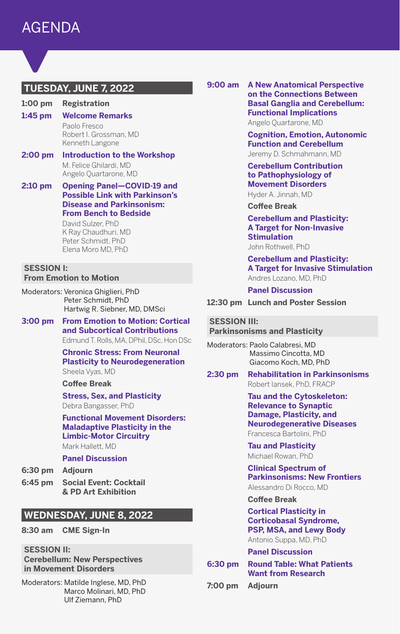## **TUESDAY, JUNE 7, 2022**

**1:00 pm Registration**

- **1:45 pm Welcome Remarks** Paolo Fresco Robert I. Grossman, MD Kenneth Langone
- **2:00 pm Introduction to the Workshop** M. Felice Ghilardi, MD Angelo Quartarone, MD

#### **2:10 pm Opening Panel—COVID-19 and Possible Link with Parkinson's Disease and Parkinsonism: From Bench to Bedside**

David Sulzer, PhD K Ray Chaudhuri, MD Peter Schmidt, PhD Elena Moro MD, PhD

#### **SESSION I: From Emotion to Motion**

Moderators: Veronica Ghiglieri, PhD Peter Schmidt, PhD Hartwig R. Siebner, MD, DMSci

**3:00 pm From Emotion to Motion: Cortical and Subcortical Contributions** Edmund T. Rolls, MA, DPhil, DSc, Hon DSc

> **Chronic Stress: From Neuronal Plasticity to Neurodegeneration** Sheela Vyas, MD

#### **Coffee Break**

**Stress, Sex, and Plasticity** Debra Bangasser, PhD

**Functional Movement Disorders: Maladaptive Plasticity in the Limbic-Motor Circuitry** Mark Hallett, MD

#### **Panel Discussion**

- **6:30 pm Adjourn**
- **6:45 pm Social Event: Cocktail & PD Art Exhibition**

## **WEDNESDAY, JUNE 8, 2022**

- **8:30 am CME Sign-In**
- **SESSION II:**

**Cerebellum: New Perspectives in Movement Disorders**

Moderators: Matilde Inglese, MD, PhD Marco Molinari, MD, PhD Ulf Ziemann, PhD

**9:00 am A New Anatomical Perspective on the Connections Between Basal Ganglia and Cerebellum: Functional Implications** Angelo Quartarone, MD

> **Cognition, Emotion, Autonomic Function and Cerebellum** Jeremy D. Schmahmann, MD

**Cerebellum Contribution to Pathophysiology of Movement Disorders** Hyder A. Jinnah, MD

**Coffee Break**

**Cerebellum and Plasticity: A Target for Non-Invasive Stimulation**

John Rothwell, PhD

**Cerebellum and Plasticity: A Target for Invasive Stimulation** Andres Lozano, MD, PhD

**Panel Discussion**

**12:30 pm Lunch and Poster Session**

#### **SESSION III:**

**Parkinsonisms and Plasticity**

Moderators: Paolo Calabresi, MD Massimo Cincotta, MD Giacomo Koch, MD, PhD

**2:30 pm Rehabilitation in Parkinsonisms** Robert Iansek, PhD, FRACP

#### **Tau and the Cytoskeleton: Relevance to Synaptic Damage, Plasticity, and Neurodegenerative Diseases** Francesca Bartolini, PhD

**Tau and Plasticity** Michael Rowan, PhD

**Clinical Spectrum of Parkinsonisms: New Frontiers** Alessandro Di Rocco, MD

#### **Coffee Break**

**Cortical Plasticity in Corticobasal Syndrome, PSP, MSA, and Lewy Body** Antonio Suppa, MD, PhD

**Panel Discussion**

**6:30 pm Round Table: What Patients Want from Research**

**7:00 pm Adjourn**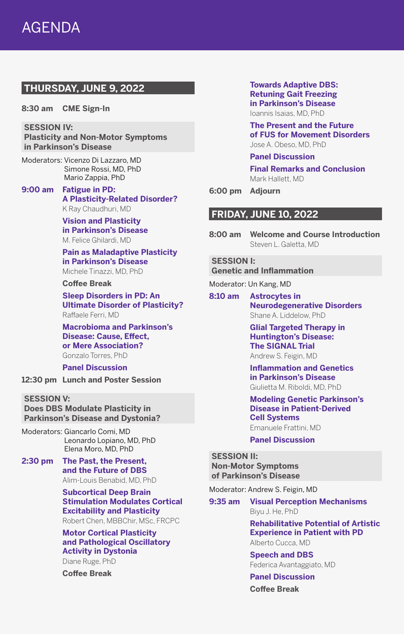## **THURSDAY, JUNE 9, 2022**

**8:30 am CME Sign-In**

**SESSION IV: Plasticity and Non-Motor Symptoms in Parkinson's Disease**

Moderators: Vicenzo Di Lazzaro, MD Simone Rossi, MD, PhD Mario Zappia, PhD

**9:00 am Fatigue in PD: A Plasticity-Related Disorder?** K Ray Chaudhuri, MD

> **Vision and Plasticity in Parkinson's Disease** M. Felice Ghilardi, MD

**Pain as Maladaptive Plasticity in Parkinson's Disease** Michele Tinazzi, MD, PhD

## **Coffee Break**

**Sleep Disorders in PD: An Ultimate Disorder of Plasticity?** Raffaele Ferri, MD

**Macrobioma and Parkinson's Disease: Cause, Effect, or Mere Association?** Gonzalo Torres, PhD

**Panel Discussion**

**12:30 pm Lunch and Poster Session**

**SESSION V: Does DBS Modulate Plasticity in Parkinson's Disease and Dystonia?**

Moderators: Giancarlo Comi, MD Leonardo Lopiano, MD, PhD Elena Moro, MD, PhD

**2:30 pm The Past, the Present, and the Future of DBS** Alim-Louis Benabid, MD, PhD

> **Subcortical Deep Brain Stimulation Modulates Cortical Excitability and Plasticity**

Robert Chen, MBBChir, MSc, FRCPC

**Motor Cortical Plasticity and Pathological Oscillatory Activity in Dystonia** Diane Ruge, PhD

**Coffee Break**

**Towards Adaptive DBS: Retuning Gait Freezing in Parkinson's Disease** Ioannis Isaias, MD, PhD

**The Present and the Future of FUS for Movement Disorders** Jose A. Obeso, MD, PhD

#### **Panel Discussion**

**Final Remarks and Conclusion** Mark Hallett, MD

**6:00 pm Adjourn**

#### **FRIDAY, JUNE 10, 2022**

**8:00 am Welcome and Course Introduction** Steven L. Galetta, MD

#### **SESSION I:**

**Genetic and Inflammation**

Moderator: Un Kang, MD

**8:10 am Astrocytes in Neurodegenerative Disorders** Shane A. Liddelow, PhD

> **Glial Targeted Therapy in Huntington's Disease: The SIGNAL Trial** Andrew S. Feigin, MD

**Inflammation and Genetics in Parkinson's Disease** Giulietta M. Riboldi, MD, PhD

#### **Modeling Genetic Parkinson's Disease in Patient-Derived Cell Systems**

Emanuele Frattini, MD

#### **Panel Discussion**

#### **SESSION II:**

**Non-Motor Symptoms of Parkinson's Disease**

Moderator: Andrew S. Feigin, MD

**9:35 am Visual Perception Mechanisms** Biyu J. He, PhD

> **Rehabilitative Potential of Artistic Experience in Patient with PD** Alberto Cucca, MD

**Speech and DBS** Federica Avantaggiato, MD

#### **Panel Discussion**

**Coffee Break**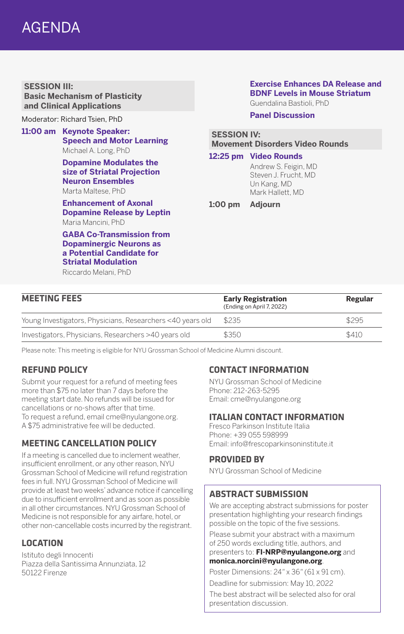## AGENDA

**SESSION III: Basic Mechanism of Plasticity and Clinical Applications**

Moderator: Richard Tsien, PhD

**11:00 am Keynote Speaker: Speech and Motor Learning** Michael A. Long, PhD

> **Dopamine Modulates the size of Striatal Projection Neuron Ensembles** Marta Maltese, PhD

**Enhancement of Axonal Dopamine Release by Leptin** Maria Mancini, PhD

**GABA Co-Transmission from Dopaminergic Neurons as a Potential Candidate for Striatal Modulation** Riccardo Melani, PhD

## **Exercise Enhances DA Release and BDNF Levels in Mouse Striatum**

Guendalina Bastioli, PhD

**Panel Discussion**

#### **SESSION IV: Movement Disorders Video Rounds**

**12:25 pm Video Rounds**

Andrew S. Feigin, MD Steven J. Frucht, MD Un Kang, MD Mark Hallett, MD

**1:00 pm Adjourn**

| <b>MEETING FEES</b>                                        | <b>Early Registration</b><br>(Ending on April 7, 2022) | Regular |
|------------------------------------------------------------|--------------------------------------------------------|---------|
| Young Investigators, Physicians, Researchers <40 years old | \$235                                                  | \$295   |
| Investigators, Physicians, Researchers >40 years old       | \$350                                                  | \$410   |

Please note: This meeting is eligible for NYU Grossman School of Medicine Alumni discount.

## **REFUND POLICY**

Submit your request for a refund of meeting fees more than \$75 no later than 7 days before the meeting start date. No refunds will be issued for cancellations or no-shows after that time. To request a refund, email cme@nyulangone.org. A \$75 administrative fee will be deducted.

## **MEETING CANCELLATION POLICY**

If a meeting is cancelled due to inclement weather, insufficient enrollment, or any other reason, NYU Grossman School of Medicine will refund registration fees in full. NYU Grossman School of Medicine will provide at least two weeks' advance notice if cancelling due to insufficient enrollment and as soon as possible in all other circumstances. NYU Grossman School of Medicine is not responsible for any airfare, hotel, or other non-cancellable costs incurred by the registrant.

## **LOCATION**

Istituto degli Innocenti Piazza della Santissima Annunziata, 12 50122 Firenze

## **CONTACT INFORMATION**

NYU Grossman School of Medicine Phone: 212-263-5295 Email: cme@nyulangone.org

## **ITALIAN CONTACT INFORMATION**

Fresco Parkinson Institute Italia Phone: +39 055 598999 Email: info@frescoparkinsoninstitute.it

## **PROVIDED BY**

NYU Grossman School of Medicine

## **ABSTRACT SUBMISSION**

We are accepting abstract submissions for poster presentation highlighting your research findings possible on the topic of the five sessions.

Please submit your abstract with a maximum of 250 words excluding title, authors, and presenters to: **FI-NRP@nyulangone.org** and

## **monica.norcini@nyulangone.org**.

Poster Dimensions: 24*"* x 36*"* (61 x 91 cm).

Deadline for submission: May 10, 2022

The best abstract will be selected also for oral presentation discussion.